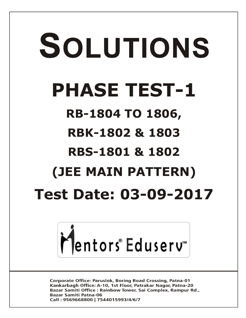# SOLUTIONS **PHASE TEST-1 RB-1804 TO 1806, RBK-1802 & 1803 RBS-1801 & 1802 (JEE MAIN PATTERN) Test Date: 03-09-2017**



**Corporate Office: Paruslok, Boring Road Crossing, Patna-01** Kankarbagh Office: A-10, 1st Floor, Patrakar Nagar, Patna-20 Bazar Samiti Office: Rainbow Tower, Sai Complex, Rampur Rd., **Bazar Samiti Patna-06** Call: 9569668800 | 7544015993/4/6/7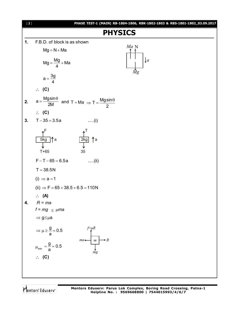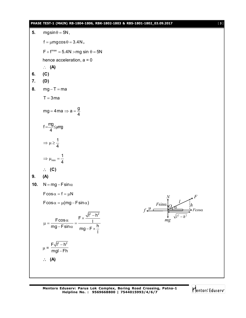#### **PHASE TEST-1 (MAIN) RB-1804-1806, RBK-1802-1803 & RBS-1801-1802\_03.09.2017** [ **3** ]

**5.** mgsin $\theta = 5N$ ,  $f = \mu mg \cos \theta = 3.4N$ ,  $F + f^{max} = 5.4N > mg \sin \theta = 5N$ hence acceleration,  $a = 0$  **(A) 6. (C) 7. (D) 8.**  $mg - T = ma$  $T = 3$ ma mg = 4 ma  $\Rightarrow$  a =  $\frac{9}{4}$ 4  $=$  4 ma  $\Rightarrow$  a =  $\frac{3}{2}$  $f = \frac{mg}{4}$ ≤µmg 4 =<del>่.'ั</del>≌≤µ 1 4  $\Rightarrow \mu \geq$ min 1 4  $\Rightarrow \mu_{\min} = -$  **(C) 9. (A) 10.**  $N = mg - F \sin \alpha$  $F\cos\alpha = f = \mu N$  $F\cos\alpha = \mu(mg - F\sin\alpha)$  $\mu \stackrel{F\sin\alpha}{\longleftarrow} \mathcal{A}$ *F mg F*cos 2  $\mu^2$  $l^2 - h$ *N f l*  $F \times \frac{\sqrt{I^2 - h^2}}{I}$  $\frac{\text{Fcos}\alpha}{\text{Fcos}\alpha} = \frac{\text{F} \times \text{F}}{1}$ mg – F $\,$ sin $\alpha$   $\overline{\phantom{a}}$   $\,$  mg – F $\times$   $\frac{\hbar}{\,}$ l  $\mu = \frac{F \cos \alpha}{F \cdot F} = \frac{F \times \frac{\sqrt{I^2 - I}}{I}}{I}$  $-$ F $\bm{\mathsf{s}}$ in $\bm{\mathsf{\alpha}}$   $\bm{\mathsf{mg}}$   $-$  F  $\times$   $\frac{1}{2}$  $\mu =$  $F\sqrt{I^2 - h^2}$ mgl – Fh  $\overline{\phantom{a}}$ -**(A)**

Mentors Eduserv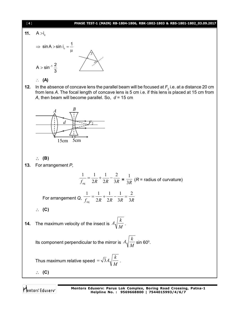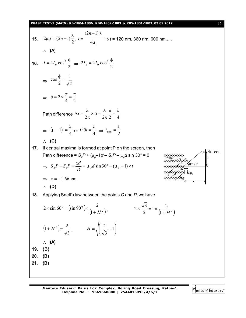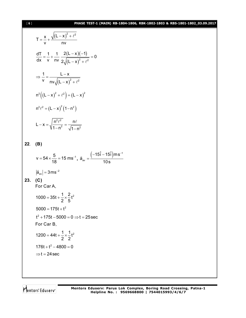## [ **6** ] **PHASE TEST-1 (MAIN) RB-1804-1806, RBK-1802-1803 & RBS-1801-1802\_03.09.2017**

$$
T = \frac{x}{v} + \frac{\sqrt{(L-x)^2 + \ell^2}}{nv}
$$
  
\n
$$
\frac{dT}{dx} = \frac{1}{v} + \frac{1}{nv} \frac{2(L-x)(-1)}{2\sqrt{(L-x)^2 + \ell^2}} = 0
$$
  
\n
$$
\Rightarrow \frac{1}{v} = \frac{L-x}{nv\sqrt{(L-x)^2 + \ell^2}}
$$
  
\n
$$
n^2((L-x)^2 + \ell^2) = (L-x)^2
$$
  
\n
$$
n^2\ell^2 = (L-x)^2(1-n^2)
$$
  
\n
$$
L-x = \sqrt{\frac{n^2\ell^2}{1-n^2}} = \frac{n\ell}{\sqrt{1-n^2}}
$$
  
\n22. **(B)**  
\n
$$
v = 54 \times \frac{5}{18} = 15 \text{ ms}^{-1}, \ \vec{a}_{av} = \frac{(-15\hat{i} - 15\hat{i})\text{ms}^{-1}}{10 \text{ s}}
$$
  
\n
$$
|\vec{a}_{av}| = 3 \text{ ms}^{-2}
$$
  
\n23. **(C)**  
\nFor Car A,  
\n
$$
1000 = 35t + \frac{1}{2} \times \frac{2}{5}t^2
$$
  
\n
$$
5000 = 175t + t^2
$$
  
\n $t^2 + 175t - 5000 = 0 \Rightarrow t = 25 \text{ sec}$   
\nFor Car B,  
\n
$$
1200 = 44t + \frac{1}{2} \times \frac{1}{2}t^2
$$
  
\n
$$
176t + t^2 - 4800 = 0
$$
  
\n
$$
\Rightarrow t = 24 \text{ sec}
$$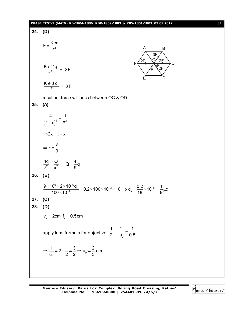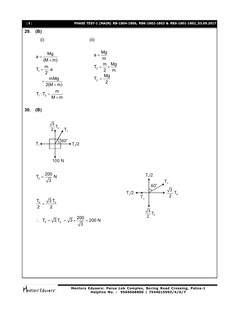| $[\begin{array}{c} 8 \end{array}]$ | PHASE TEST-1 (MAIN) RB-1804-1806, RBK-1802-1803 & RBS-1801-1802_03.09.2017                                                                                                                      |
|------------------------------------|-------------------------------------------------------------------------------------------------------------------------------------------------------------------------------------------------|
| 29.                                | (B)                                                                                                                                                                                             |
|                                    | (ii)<br>(i)                                                                                                                                                                                     |
|                                    | $a = \frac{Mg}{m}$<br>$T_2 = \frac{m}{2} \times \frac{Mg}{m}$<br>$a = \frac{Mg}{(M+m)}$<br>$T_1 = \frac{m}{2} a$<br>$T_2 = \frac{Mg}{2}$<br>$=\frac{mMg}{2(M+m)}$<br>$T_1: T_2 = \frac{m}{M+m}$ |
| 30.                                | (B)                                                                                                                                                                                             |
|                                    | $\frac{\sqrt{3}}{2}T_2$<br>$\uparrow$ $T_2$<br>$\uparrow$ $T_2/2$<br>$T_1 \leftarrow$<br>100 <sub>N</sub>                                                                                       |
|                                    | $T_2 = \frac{200}{\sqrt{3}} N$<br>$T_4/2$<br>$T_2/2$<br>$T_3$<br>$T_4$<br>$T_5$<br>$T_6$<br>$T_6$<br>$T_4$<br>$T_2$<br>$T_4$                                                                    |
|                                    | $\frac{T_4}{2} = \frac{\sqrt{3} T_2}{2}$<br>$\frac{\sqrt{3}}{2}T_2$                                                                                                                             |
|                                    | $\therefore T_4 = \sqrt{3} T_2 = \sqrt{3} \times \frac{200}{\sqrt{3}} = 200 \text{ N}$                                                                                                          |
|                                    |                                                                                                                                                                                                 |
|                                    |                                                                                                                                                                                                 |
|                                    |                                                                                                                                                                                                 |
|                                    |                                                                                                                                                                                                 |

**Mentors Eduserv: Parus Lok Complex, Boring Road Crossing, Patna-1 Helpline No. : 9569668800 | 7544015993/4/6/7**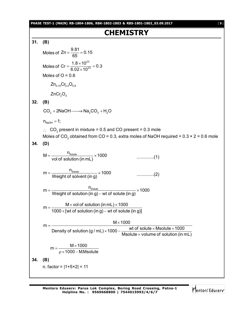**PHASE TEST-1 (MAIN) RB-1804-1806, RBK-1802-1803 & RBS-1801-1802\_03.09.2017** [ **9** ]

## **CHEMISTRY**

**31. (B)** Moles of  $Zn = \frac{9.81}{65} = 0.15$ 65  $=\frac{0.01}{0.5}=0$ Moles of 23  $Cr = \frac{1.8 \times 10^{23}}{6.03 \times 10^{23}} = 0.3$  $6.02\times 10$  $=\frac{1.8\times10^{23}}{2.22\times10^{23}}=0$  $\times$ Moles of  $O = 0.6$  $Zn_{0.15}$ Cr<sub>0.3</sub>  $Q_{0.6}$  $ZnCr<sub>2</sub>O<sub>4</sub>$ **32. (B)**  $CO<sub>2</sub> + 2NaOH \longrightarrow Na<sub>2</sub>CO<sub>3</sub> + H<sub>2</sub>O$  $n_{\text{NaOH}} = 1$ ;  $\therefore$  CO<sub>2</sub> present in mixture = 0.5 and CO present = 0.3 mole Moles of CO $_2$  obtained from CO = 0.3, extra moles of NaOH required = 0.3 × 2 = 0.6 mole **34. (D)**  $M = \frac{n_{\text{Solute}}}{n_{\text{Solute}}}\times 1000$ vol of solution (in mL) ..............(1)  $m = \frac{n_{\text{Solute}}}{\frac{N_{\text{Solute}}}{N_{\text{Sobel}}}} \times 1000$ Weight of solvent (in g) ..............(2)  $m = \frac{n_{\text{Solute}}}{\frac{1}{2} \cdot \frac{1}{2} \cdot \frac{1}{2} \cdot \frac{1}{2} \cdot \frac{1}{2} \cdot \frac{1}{2} \cdot \frac{1}{2} \cdot \frac{1}{2} \cdot \frac{1}{2} \cdot \frac{1}{2} \cdot \frac{1}{2} \cdot \frac{1}{2} \cdot \frac{1}{2} \cdot \frac{1}{2} \cdot \frac{1}{2} \cdot \frac{1}{2} \cdot \frac{1}{2} \cdot \frac{1}{2} \cdot \frac{1}{2} \cdot \frac{1}{2} \cdot \frac{1}{2} \cdot \frac{1}{2} \cdot \frac{1}{2} \cdot$ Weight of solution (in g) – wt of solute (in g)  $=\frac{1}{100} \times 1$  $m = \frac{M \times \text{vol of solution (in mL)} \times 1000}{1000 \text{ J} \times 1000 \text{ J}}$ 1000  $\times$  [wt of solution (in g) – wt of solute (in g)]  $=\frac{M \times vol of solution (in mL) \times 1}{4000 \text{ ft of mid time}}$  $\times$  [wt of solution (in g) –  $\sqrt{ }$  $M \times 1000$  $m =$ Density of solution (g / mL)  $\times$ 1000 –  $\frac{\mathsf{wt}}{\mathsf{wt}}$  of solute  $\times$ Msolute  $\times$ 1000 Msolute  $\times$  volume of solution (in mL)  $\times$ 1000 –  $\frac{\mathsf{wt}\, \mathsf{of}\, \mathsf{solute}\times \mathsf{Msolute}\times \mathsf{1}}{\mathsf{M}}$  $\times$  $m = \frac{M \times 1000}{1000}$  $1000 - M.Msolute$  $=\frac{M \times}{1000}$  $\rho$  × 1000  $-$  M **34. (B)** n. factor = |1+5×2| = 11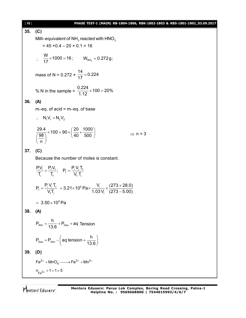| [10] | PHASE TEST-1 (MAIN) RB-1804-1806, RBK-1802-1803 & RBS-1801-1802_03.09.2017                                                                          |  |  |  |  |  |  |
|------|-----------------------------------------------------------------------------------------------------------------------------------------------------|--|--|--|--|--|--|
| 35.  | (C)                                                                                                                                                 |  |  |  |  |  |  |
|      | Milli-equivalent of $NH3$ reacted with $HNO3$                                                                                                       |  |  |  |  |  |  |
|      | $= 45 \times 0.4 - 20 \times 0.1 = 16$                                                                                                              |  |  |  |  |  |  |
|      | $\therefore$ $\frac{W}{17} \times 1000 = 16$ ; $W_{NH_3} = 0.272g$ ;                                                                                |  |  |  |  |  |  |
|      | mass of N = 0.272 $\times \frac{14}{17} = 0.224$                                                                                                    |  |  |  |  |  |  |
|      | % N in the sample = $\frac{0.224}{1.12} \times 100 = 20\%$                                                                                          |  |  |  |  |  |  |
| 36.  | (A)                                                                                                                                                 |  |  |  |  |  |  |
|      | $m$ -eq. of acid = $m$ -eq. of base                                                                                                                 |  |  |  |  |  |  |
|      | $\therefore$ N <sub>1</sub> V <sub>1</sub> = N <sub>2</sub> V <sub>2</sub>                                                                          |  |  |  |  |  |  |
|      | $\frac{29.4}{\left(\frac{98}{\phantom{0}}\right)} \times 100 = 90 \times \left(\frac{20}{40} \times \frac{1000}{500}\right)$<br>$\Rightarrow$ n = 3 |  |  |  |  |  |  |
| 37.  | (C)                                                                                                                                                 |  |  |  |  |  |  |
|      | Because the number of moles is constant.                                                                                                            |  |  |  |  |  |  |
|      | $\frac{P_i V_i}{T} = \frac{P_f V_f}{T}$ ; $P_f = \frac{P_i V_i I_f}{V T}$                                                                           |  |  |  |  |  |  |
|      | $P_f = \frac{P_i V_i T_f}{V_f T_i} = 3.21 \times 10^5 \text{ Pa} \times \frac{V_i}{1.03 \text{ V}} \times \frac{(273 + 28.0)}{(273 - 5.00)}$        |  |  |  |  |  |  |
|      | $= 3.50 \times 10^5$ Pa                                                                                                                             |  |  |  |  |  |  |
| 38.  | (A)                                                                                                                                                 |  |  |  |  |  |  |
|      | $P_{Atm} = \frac{h}{13.6} + P_{Gas} + aq$ Tension                                                                                                   |  |  |  |  |  |  |
|      | $P_{\text{Gas}} = P_{\text{Atm}} - \left( \text{aq tension} + \frac{h}{13.6} \right)$                                                               |  |  |  |  |  |  |
| 39.  | (D)                                                                                                                                                 |  |  |  |  |  |  |
|      | $Fe^{2+} + MnO_4^- \longrightarrow Fe^{3+} + Mn^{2+}$                                                                                               |  |  |  |  |  |  |
|      | $n_{Fe^{2+}} \times 1 = 1 \times 5$                                                                                                                 |  |  |  |  |  |  |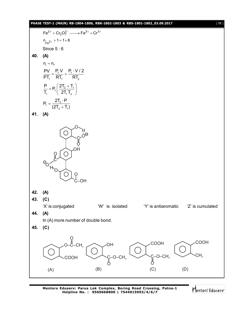### **PHASE TEST-1 (MAIN) RB-1804-1806, RBK-1802-1803 & RBS-1801-1802\_03.09.2017** [ **11** ]

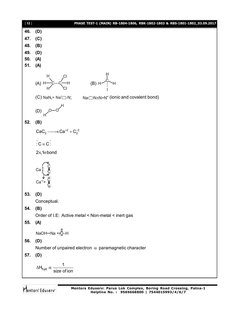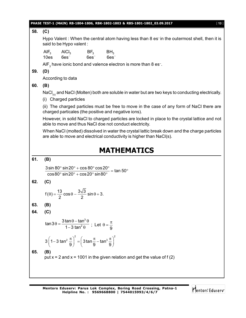|     |                                                                                                                                                           |                                                                                                      |                                                     | PHASE TEST-1 (MAIN) RB-1804-1806, RBK-1802-1803 & RBS-1801-1802_03.09.2017                                                                                           | $[13]$ |  |  |
|-----|-----------------------------------------------------------------------------------------------------------------------------------------------------------|------------------------------------------------------------------------------------------------------|-----------------------------------------------------|----------------------------------------------------------------------------------------------------------------------------------------------------------------------|--------|--|--|
| 58. | (C)                                                                                                                                                       |                                                                                                      |                                                     |                                                                                                                                                                      |        |  |  |
|     | Hypo Valent: When the central atom having less than 8 es-in the outermost shell, then it is<br>said to be Hypo valent:                                    |                                                                                                      |                                                     |                                                                                                                                                                      |        |  |  |
|     | $AIF_3$<br>10es                                                                                                                                           | $6es^-$                                                                                              | $AICI_3$ BF <sub>3</sub> BH <sub>3</sub><br>$6es^-$ | $6es-$                                                                                                                                                               |        |  |  |
|     |                                                                                                                                                           |                                                                                                      |                                                     | AIF <sub>3</sub> have ionic bond and valence electron is more than 8 es <sup>-</sup> .                                                                               |        |  |  |
| 59. | (D)                                                                                                                                                       |                                                                                                      |                                                     |                                                                                                                                                                      |        |  |  |
|     |                                                                                                                                                           | According to data                                                                                    |                                                     |                                                                                                                                                                      |        |  |  |
| 60. | (B)                                                                                                                                                       |                                                                                                      |                                                     |                                                                                                                                                                      |        |  |  |
|     | NaCl <sub>(s)</sub> and NaCl (Molten) both are soluble in water but are two keys to conducting electrically.<br>(i) Charged particles                     |                                                                                                      |                                                     |                                                                                                                                                                      |        |  |  |
|     | (ii) The charged particles must be free to move in the case of any form of NaCl there are<br>charged particales (the positive and negative ions).         |                                                                                                      |                                                     |                                                                                                                                                                      |        |  |  |
|     | However, in solid NaCI to charged particles are locked in place to the crystal lattice and not<br>able to move and thus NaCl doe not conduct electricity. |                                                                                                      |                                                     |                                                                                                                                                                      |        |  |  |
|     |                                                                                                                                                           |                                                                                                      |                                                     | When NaCl (molted) dissolved in water the crystal lattic break down and the charge particles<br>are able to move and electrical conductivity is higher than NaCl(s). |        |  |  |
|     |                                                                                                                                                           |                                                                                                      |                                                     | <b>MATHEMATICS</b>                                                                                                                                                   |        |  |  |
| 61. | (B)                                                                                                                                                       |                                                                                                      |                                                     |                                                                                                                                                                      |        |  |  |
|     |                                                                                                                                                           |                                                                                                      |                                                     |                                                                                                                                                                      |        |  |  |
|     |                                                                                                                                                           |                                                                                                      |                                                     | $\frac{3\sin 80^\circ \sin 20^\circ + \cos 80^\circ \cos 20^\circ}{\cos 80^\circ \sin 20^\circ + \cos 20^\circ \sin 80^\circ} = \tan 50^\circ$                       |        |  |  |
| 62. | (C)                                                                                                                                                       |                                                                                                      |                                                     |                                                                                                                                                                      |        |  |  |
|     |                                                                                                                                                           | $f(\theta) = \frac{13}{2} \cos \theta - \frac{3\sqrt{3}}{2} \sin \theta + 3.$                        |                                                     |                                                                                                                                                                      |        |  |  |
| 63. | (B)                                                                                                                                                       |                                                                                                      |                                                     |                                                                                                                                                                      |        |  |  |
| 64. | (C)                                                                                                                                                       |                                                                                                      |                                                     |                                                                                                                                                                      |        |  |  |
|     |                                                                                                                                                           | $\tan 3\theta = \frac{3\tan\theta - \tan^3\theta}{1 - 3\tan^2\theta}$ ; Let $\theta = \frac{\pi}{9}$ |                                                     |                                                                                                                                                                      |        |  |  |
|     |                                                                                                                                                           | $3\left(1-3\tan^2\frac{\pi}{9}\right)^2 = \left(3\tan\frac{\pi}{9}-\tan^3\frac{\pi}{9}\right)^2$     |                                                     |                                                                                                                                                                      |        |  |  |
| 65. | (B)                                                                                                                                                       |                                                                                                      |                                                     | put $x = 2$ and $x = 1001$ in the given relation and get the value of f (2)                                                                                          |        |  |  |
|     |                                                                                                                                                           |                                                                                                      |                                                     |                                                                                                                                                                      |        |  |  |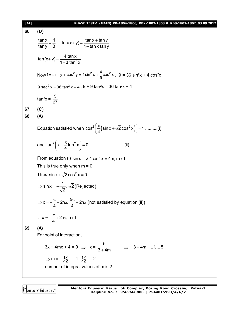| $[14]$ | PHASE TEST-1 (MAIN) RB-1804-1806, RBK-1802-1803 & RBS-1801-1802_03.09.2017                               |  |  |  |  |  |
|--------|----------------------------------------------------------------------------------------------------------|--|--|--|--|--|
| 66.    | (D)                                                                                                      |  |  |  |  |  |
|        | $\frac{\tan x}{\tan y} = \frac{1}{3}$ ; $\tan(x+y) = \frac{\tan x + \tan y}{1 - \tan x \tan y}$          |  |  |  |  |  |
|        |                                                                                                          |  |  |  |  |  |
|        | $\tan(x+y) = \frac{4 \tan x}{1-3 \tan^2 x}$                                                              |  |  |  |  |  |
|        | Now 1 = $\sin^2 y + \cos^2 y = 4 \sin^2 x + \frac{4}{9} \cos^2 x$ , 9 = 36 $\sin^2 x + 4 \cos^2 x$       |  |  |  |  |  |
|        | 9 $sec^2 x = 36 \tan^2 x + 4$ , 9 + 9 $tan^2 x = 36 \tan^2 x + 4$                                        |  |  |  |  |  |
|        | $tan^2 x = \frac{5}{27}$                                                                                 |  |  |  |  |  |
| 67.    | (C)                                                                                                      |  |  |  |  |  |
| 68.    | (A)                                                                                                      |  |  |  |  |  |
|        | Equation satisfied when $\cos^2\left(\frac{\pi}{4}\left(\sin x + \sqrt{2}\cos^2 x\right)\right) = 1$ (i) |  |  |  |  |  |
|        | and $\tan^2\left(x+\frac{\pi}{4}\tan^2 x\right)=0$                                                       |  |  |  |  |  |
|        | From equation (i) $\sin x + \sqrt{2} \cos^2 x = 4m$ , $m \in I$                                          |  |  |  |  |  |
|        | This is true only when $m = 0$                                                                           |  |  |  |  |  |
|        | Thus $\sin x + \sqrt{2} \cos^2 x = 0$                                                                    |  |  |  |  |  |
|        | $\Rightarrow$ sin x = $-\frac{1}{\sqrt{2}}$ , $\sqrt{2}$ (Re jected)                                     |  |  |  |  |  |
|        | ⇒ x = $-\frac{\pi}{4}$ + 2nπ, $\frac{5\pi}{4}$ + 2nπ (not satisfied by equation (ii))                    |  |  |  |  |  |
|        | ∴ $x = -\frac{\pi}{4} + 2n\pi$ , n ∈ I                                                                   |  |  |  |  |  |
| 69.    | (A)                                                                                                      |  |  |  |  |  |
|        | For point of interaction,                                                                                |  |  |  |  |  |
|        | $3x + 4mx + 4 = 9 \Rightarrow x = \frac{5}{3 + 4m}$<br>$\Rightarrow$ 3 + 4m = $\pm$ 1, $\pm$ 5           |  |  |  |  |  |
|        | $\Rightarrow$ m = $-\frac{1}{2}$ , -1, $\frac{1}{2}$ , -2                                                |  |  |  |  |  |
|        | number of integral values of m is 2                                                                      |  |  |  |  |  |
|        |                                                                                                          |  |  |  |  |  |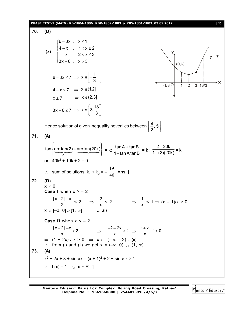PIASF-15(MAT) RB-1804-1806, BBK-1802-1803 RRB-1801-1802 03.09.2017  
\n70. (D)  
\n171. (D)  
\n
$$
f(x) =\begin{cases}\n6-3x, x \le 1 \\
4-x, 1 < x \le 2 \\
3x-6, x > 3\n\end{cases}
$$
\n6-3x  $z = x \le 1$   
\n
$$
6-3x \le 7 \Rightarrow x \in [-\frac{1}{3}, 1]
$$
\n
$$
4-x \le 7 \Rightarrow x \in (2,3]
$$
\n
$$
3x-6 \le 7 \Rightarrow x \in (2,3]
$$
\n171. (A)  
\n
$$
\tan \left\{\arctan(2) + \arctan(20k)\right\} = k; \frac{\tan A + \tan B}{1 - \tan A \tan B} = k; \frac{2+20k}{1-(2)(20k)} = k
$$
\nor 40k<sup>2</sup> + 19k + 2 = 0  
\n∴ sum of solutions, k<sub>1</sub> + k<sub>2</sub> = - $\frac{19}{40}$  Ans.]  
\n172. (D)  
\nx ≠ 0  
\nCase I when x ≥ -2  
\n
$$
\frac{|x+2| - x}{2} < 2 \Rightarrow \frac{2}{x} < 2 \Rightarrow \frac{2}{x} < 2 \Rightarrow \frac{1}{x} < 1 \Rightarrow (x-1)/x > 0
$$
\n
$$
x \in [-2, 0] \cup [1, \infty] \text{ .... (i)}
$$
\nCase II when x < -2  
\n
$$
\frac{|x+2| - x}{2} < 2 \Rightarrow \frac{-2-2x}{x} < 2 \Rightarrow \frac{1+x}{x} + 1 > 0
$$
\n
$$
\Rightarrow \frac{(1+2x)}{x} / x > 0 \Rightarrow x \in (-\infty, -2) ... (i)
$$
\n273. (A)  
\n
$$
x^2 + 2x + 3 + \sin \pi x = (x + 1)^2 + 2 + \sin \pi x > 1
$$
\n∴ f(x) = 1  $\forall x \in R$  ]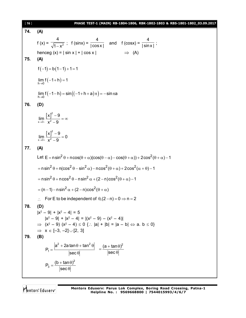| $[16]$ | PHASE TEST-1 (MAIN) RB-1804-1806, RBK-1802-1803 & RBS-1801-1802_03.09.2017                                                                                                             |
|--------|----------------------------------------------------------------------------------------------------------------------------------------------------------------------------------------|
| 74.    | (A)                                                                                                                                                                                    |
|        | $f(x) = \frac{4}{\sqrt{1-x^2}}$ ; $f(sin x) = \frac{4}{ cos x }$ and $f(cos x) = \frac{4}{ sin x }$ ;<br>$\Rightarrow$ (A)<br>henceg $(x) =  \sin x  +  \cos x $                       |
| 75.    | (A)                                                                                                                                                                                    |
|        | $f(-1) = b(1-1) + 1 = 1$                                                                                                                                                               |
|        | $\lim_{h\to 0} f(-1+h) = 1$                                                                                                                                                            |
|        | $\lim_{h \to 0} f(-1-h) = \sin ((-1+h+a)\pi) = -\sin \pi a$                                                                                                                            |
| 76.    | (D)                                                                                                                                                                                    |
|        | $\lim_{x\to 3^-}\frac{[x]^2-9}{x^2-0}=\infty$                                                                                                                                          |
|        | $\lim_{x\to 3+}\frac{[x]^2-9}{x^2-0}=0$                                                                                                                                                |
| 77.    | (A)                                                                                                                                                                                    |
|        | Let $E = n \sin^2 \theta + n \cos(\theta + \alpha)(\cos(\theta - \alpha) - \cos(\theta + \alpha)) + 2\cos^2(\theta + \alpha) - 1$                                                      |
|        | $=$ nsin <sup>2</sup> $\theta$ + n(cos <sup>2</sup> $\theta$ – sin <sup>2</sup> $\alpha$ ) – ncos <sup>2</sup> ( $\theta$ + $\alpha$ ) + 2cos <sup>2</sup> ( $\alpha$ + $\theta$ ) – 1 |
|        | $=$ nsin <sup>2</sup> $\theta$ + ncos <sup>2</sup> $\theta$ – nsin <sup>2</sup> $\alpha$ + (2 – n)cos <sup>2</sup> ( $\theta$ + $\alpha$ ) – 1                                         |
|        | $= (n-1) - n \sin^2 \alpha + (2-n) \cos^2(\theta + \alpha)$                                                                                                                            |
|        | For E to be independent of $\theta$ , $(2-n) = 0 \Rightarrow n = 2$<br>$\mathcal{L}^{\mathcal{L}}$                                                                                     |
| 78.    | (D)                                                                                                                                                                                    |
|        | $ x^2 - 9  +  x^2 - 4  = 5$                                                                                                                                                            |
|        | $ x^{2}-9 $ + $ x^{2}-4 $ = $ (x^{2}-9)-(x^{2}-4) $<br>$\Rightarrow$ $(x^2 - 9) (x^2 - 4) \le 0$ $\therefore$ $ a  +  b  =  a - b  \Leftrightarrow a$ . $b \le 0$                      |
|        | $\Rightarrow$ $x \in [-3, -2] \cup [2, 3]$                                                                                                                                             |
| 79.    | (B)                                                                                                                                                                                    |
|        | $P_1 = \frac{a^2 + 2a \tan \theta + \tan^2 \theta}{ \sec \theta } = \frac{(a + \tan \theta)^2}{ \sec \theta }$                                                                         |
|        | $P_3 = \frac{(b + \tan \theta)^2}{ \sec \theta }$                                                                                                                                      |
|        |                                                                                                                                                                                        |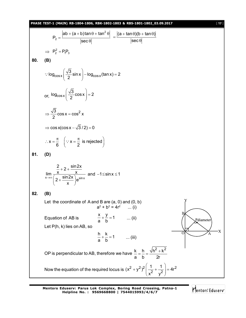

**Mentors Eduserv: Parus Lok Complex, Boring Road Crossing, Patna-1 Helpline No. : 9569668800 | 7544015993/4/6/7**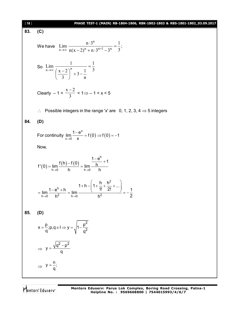181 **PIASE 185-1** (VATN) **18-1604-1806**, **RIS-1801-1802.0309.2017**  
\n83. **(C)**  
\nWe have 
$$
\lim_{n \to \infty} \frac{n^{-3^n}}{n(x-2)^n + 3^{-1} - 3^n} = \frac{1}{3}
$$
:\n\nSo 
$$
\lim_{n \to \infty} \frac{1}{\left(\frac{x-2}{3}\right)^n + 3 - \frac{1}{n}} = \frac{1}{3}
$$
\nClearly  $-1 < \frac{x-2}{3} < 1 \Rightarrow -1 < x < 5$   
\n $\therefore$  Possible integers in the range  $\forall$  are 0, 1, 2, 3, 4  $\Rightarrow$  5 integers  
\n**84. (D)**  
\nFor continuity 
$$
\lim_{x \to 0} \frac{1 - e^x}{x} = f(0) \Rightarrow f(0) = -1
$$
\nNow,  
\n
$$
f'(0) = \lim_{h \to 0} \frac{f(h) - f(0)}{h} = \lim_{h \to 0} \frac{1 - e^h}{h} + 1
$$
\n
$$
= \lim_{h \to 0} \frac{1 - e^h + h}{h^2} = \lim_{h \to 0} \frac{1 + h - \left(1 + \frac{h}{1!} + \frac{h^2}{2!} + ...\right)}{h^2} = -\frac{1}{2}
$$
\n**85. (D)**  
\n
$$
x = \frac{p}{q}; p, q \in I \Rightarrow y = \sqrt{1 - \frac{p^2}{q^2}}
$$
\n
$$
\Rightarrow y = \frac{\sqrt{q^2 - p^2}}{q}
$$
\n
$$
\Rightarrow y = \frac{1}{q};
$$